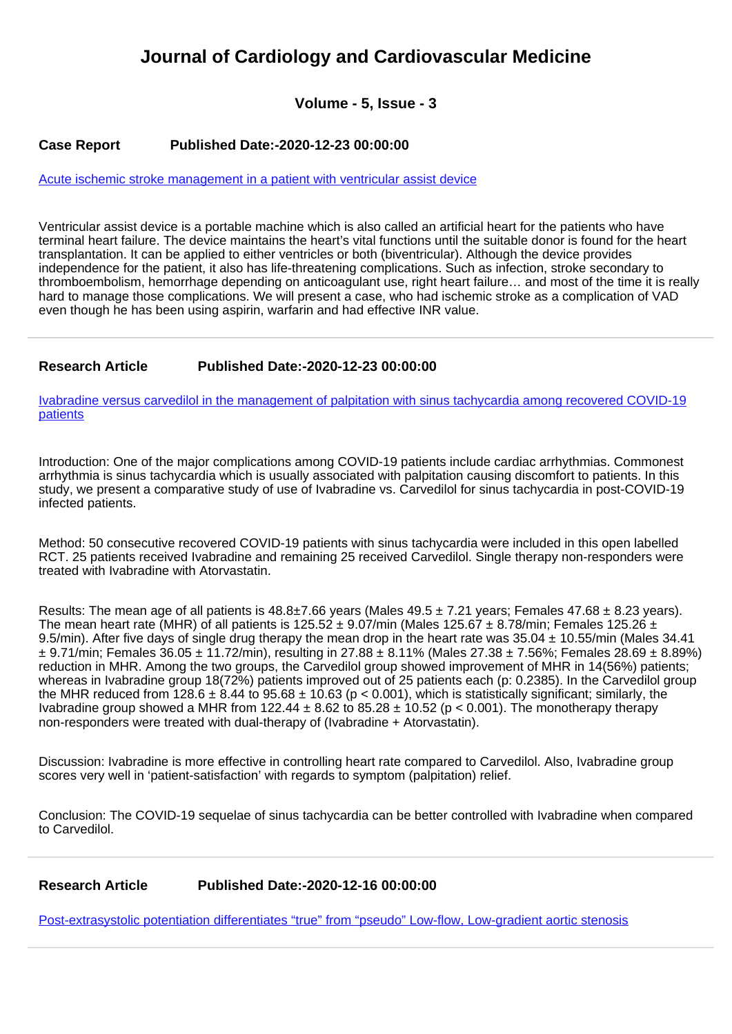# **Journal of Cardiology and Cardiovascular Medicine**

## **Volume - 5, Issue - 3**

#### **Case Report Published Date:-2020-12-23 00:00:00**

[Acute ischemic stroke management in a patient with ventricular assist device](https://www.cardiologymedjournal.com/articles/jccm-aid1106.pdf)

Ventricular assist device is a portable machine which is also called an artificial heart for the patients who have terminal heart failure. The device maintains the heart's vital functions until the suitable donor is found for the heart transplantation. It can be applied to either ventricles or both (biventricular). Although the device provides independence for the patient, it also has life-threatening complications. Such as infection, stroke secondary to thromboembolism, hemorrhage depending on anticoagulant use, right heart failure… and most of the time it is really hard to manage those complications. We will present a case, who had ischemic stroke as a complication of VAD even though he has been using aspirin, warfarin and had effective INR value.

#### **Research Article Published Date:-2020-12-23 00:00:00**

[Ivabradine versus carvedilol in the management of palpitation with sinus tachycardia among recovered COVID-19](https://www.cardiologymedjournal.com/articles/jccm-aid1107.pdf) [patients](https://www.cardiologymedjournal.com/articles/jccm-aid1107.pdf)

Introduction: One of the major complications among COVID-19 patients include cardiac arrhythmias. Commonest arrhythmia is sinus tachycardia which is usually associated with palpitation causing discomfort to patients. In this study, we present a comparative study of use of Ivabradine vs. Carvedilol for sinus tachycardia in post-COVID-19 infected patients.

Method: 50 consecutive recovered COVID-19 patients with sinus tachycardia were included in this open labelled RCT. 25 patients received Ivabradine and remaining 25 received Carvedilol. Single therapy non-responders were treated with Ivabradine with Atorvastatin.

Results: The mean age of all patients is  $48.8\pm7.66$  years (Males  $49.5\pm7.21$  years; Females  $47.68\pm8.23$  years). The mean heart rate (MHR) of all patients is 125.52  $\pm$  9.07/min (Males 125.67  $\pm$  8.78/min; Females 125.26  $\pm$ 9.5/min). After five days of single drug therapy the mean drop in the heart rate was  $35.04 \pm 10.55$ /min (Males 34.41)  $\pm$  9.71/min; Females 36.05  $\pm$  11.72/min), resulting in 27.88  $\pm$  8.11% (Males 27.38  $\pm$  7.56%; Females 28.69  $\pm$  8.89%) reduction in MHR. Among the two groups, the Carvedilol group showed improvement of MHR in 14(56%) patients; whereas in Ivabradine group 18(72%) patients improved out of 25 patients each (p: 0.2385). In the Carvedilol group the MHR reduced from 128.6  $\pm$  8.44 to 95.68  $\pm$  10.63 (p < 0.001), which is statistically significant; similarly, the Ivabradine group showed a MHR from 122.44  $\pm$  8.62 to 85.28  $\pm$  10.52 (p < 0.001). The monotherapy therapy non-responders were treated with dual-therapy of (Ivabradine + Atorvastatin).

Discussion: Ivabradine is more effective in controlling heart rate compared to Carvedilol. Also, Ivabradine group scores very well in 'patient-satisfaction' with regards to symptom (palpitation) relief.

Conclusion: The COVID-19 sequelae of sinus tachycardia can be better controlled with Ivabradine when compared to Carvedilol.

**Research Article Published Date:-2020-12-16 00:00:00**

[Post-extrasystolic potentiation differentiates "true" from "pseudo" Low-flow, Low-gradient aortic stenosis](https://www.cardiologymedjournal.com/articles/jccm-aid1105.pdf)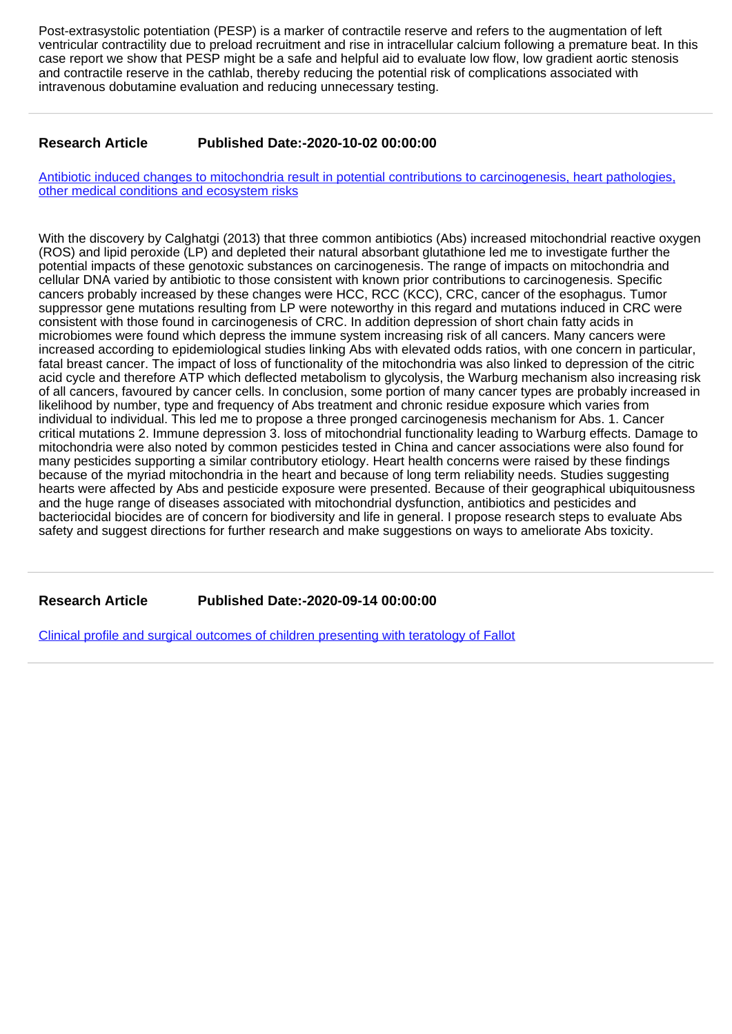Post-extrasystolic potentiation (PESP) is a marker of contractile reserve and refers to the augmentation of left ventricular contractility due to preload recruitment and rise in intracellular calcium following a premature beat. In this case report we show that PESP might be a safe and helpful aid to evaluate low flow, low gradient aortic stenosis and contractile reserve in the cathlab, thereby reducing the potential risk of complications associated with intravenous dobutamine evaluation and reducing unnecessary testing.

### **Research Article Published Date:-2020-10-02 00:00:00**

[Antibiotic induced changes to mitochondria result in potential contributions to carcinogenesis, heart pathologies,](https://www.cardiologymedjournal.com/articles/jccm-aid1104.pdf) [other medical conditions and ecosystem risks](https://www.cardiologymedjournal.com/articles/jccm-aid1104.pdf)

With the discovery by Calghatgi (2013) that three common antibiotics (Abs) increased mitochondrial reactive oxygen (ROS) and lipid peroxide (LP) and depleted their natural absorbant glutathione led me to investigate further the potential impacts of these genotoxic substances on carcinogenesis. The range of impacts on mitochondria and cellular DNA varied by antibiotic to those consistent with known prior contributions to carcinogenesis. Specific cancers probably increased by these changes were HCC, RCC (KCC), CRC, cancer of the esophagus. Tumor suppressor gene mutations resulting from LP were noteworthy in this regard and mutations induced in CRC were consistent with those found in carcinogenesis of CRC. In addition depression of short chain fatty acids in microbiomes were found which depress the immune system increasing risk of all cancers. Many cancers were increased according to epidemiological studies linking Abs with elevated odds ratios, with one concern in particular, fatal breast cancer. The impact of loss of functionality of the mitochondria was also linked to depression of the citric acid cycle and therefore ATP which deflected metabolism to glycolysis, the Warburg mechanism also increasing risk of all cancers, favoured by cancer cells. In conclusion, some portion of many cancer types are probably increased in likelihood by number, type and frequency of Abs treatment and chronic residue exposure which varies from individual to individual. This led me to propose a three pronged carcinogenesis mechanism for Abs. 1. Cancer critical mutations 2. Immune depression 3. loss of mitochondrial functionality leading to Warburg effects. Damage to mitochondria were also noted by common pesticides tested in China and cancer associations were also found for many pesticides supporting a similar contributory etiology. Heart health concerns were raised by these findings because of the myriad mitochondria in the heart and because of long term reliability needs. Studies suggesting hearts were affected by Abs and pesticide exposure were presented. Because of their geographical ubiquitousness and the huge range of diseases associated with mitochondrial dysfunction, antibiotics and pesticides and bacteriocidal biocides are of concern for biodiversity and life in general. I propose research steps to evaluate Abs safety and suggest directions for further research and make suggestions on ways to ameliorate Abs toxicity.

**Research Article Published Date:-2020-09-14 00:00:00**

[Clinical profile and surgical outcomes of children presenting with teratology of Fallot](https://www.cardiologymedjournal.com/articles/jccm-aid1103.pdf)